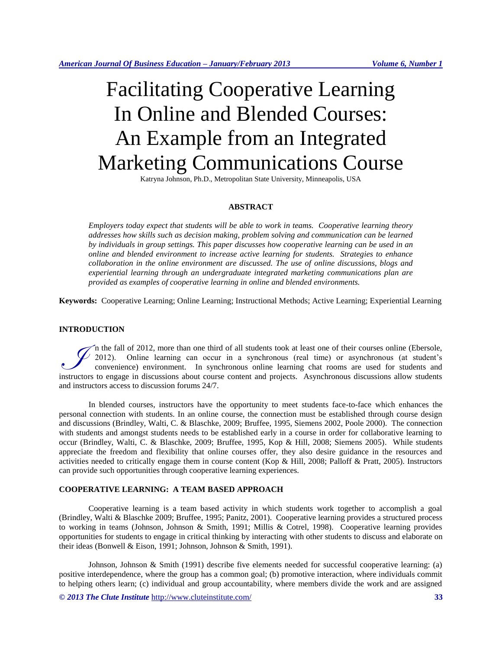# Facilitating Cooperative Learning In Online and Blended Courses: An Example from an Integrated Marketing Communications Course

Katryna Johnson, Ph.D., Metropolitan State University, Minneapolis, USA

# **ABSTRACT**

*Employers today expect that students will be able to work in teams. Cooperative learning theory addresses how skills such as decision making, problem solving and communication can be learned by individuals in group settings. This paper discusses how cooperative learning can be used in an online and blended environment to increase active learning for students. Strategies to enhance collaboration in the online environment are discussed. The use of online discussions, blogs and experiential learning through an undergraduate integrated marketing communications plan are provided as examples of cooperative learning in online and blended environments.* 

**Keywords:** Cooperative Learning; Online Learning; Instructional Methods; Active Learning; Experiential Learning

# **INTRODUCTION**

n the fall of 2012, more than one third of all students took at least one of their courses online (Ebersole, 2012). Online learning can occur in a synchronous (real time) or asynchronous (at student's convenience) environment. In synchronous online learning chat rooms are used for students and If the fall of 2012, more than one third of all students took at least one of their courses online (Ebersole, 2012). Online learning can occur in a synchronous (real time) or asynchronous (at student's convenience) environ and instructors access to discussion forums 24/7.

In blended courses, instructors have the opportunity to meet students face-to-face which enhances the personal connection with students. In an online course, the connection must be established through course design and discussions (Brindley, Walti, C. & Blaschke, 2009; Bruffee, 1995, Siemens 2002, Poole 2000). The connection with students and amongst students needs to be established early in a course in order for collaborative learning to occur (Brindley, Walti, C. & Blaschke, 2009; Bruffee, 1995, Kop & Hill, 2008; Siemens 2005). While students appreciate the freedom and flexibility that online courses offer, they also desire guidance in the resources and activities needed to critically engage them in course content (Kop & Hill, 2008; Palloff & Pratt, 2005). Instructors can provide such opportunities through cooperative learning experiences.

# **COOPERATIVE LEARNING: A TEAM BASED APPROACH**

Cooperative learning is a team based activity in which students work together to accomplish a goal (Brindley, Walti & Blaschke 2009; Bruffee, 1995; Panitz, 2001). Cooperative learning provides a structured process to working in teams (Johnson, Johnson & Smith, 1991; Millis & Cotrel, 1998). Cooperative learning provides opportunities for students to engage in critical thinking by interacting with other students to discuss and elaborate on their ideas (Bonwell & Eison, 1991; Johnson, Johnson & Smith, 1991).

Johnson, Johnson & Smith (1991) describe five elements needed for successful cooperative learning: (a) positive interdependence, where the group has a common goal; (b) promotive interaction, where individuals commit to helping others learn; (c) individual and group accountability, where members divide the work and are assigned

*© 2013 The Clute Institute* http://www.cluteinstitute.com/ **33**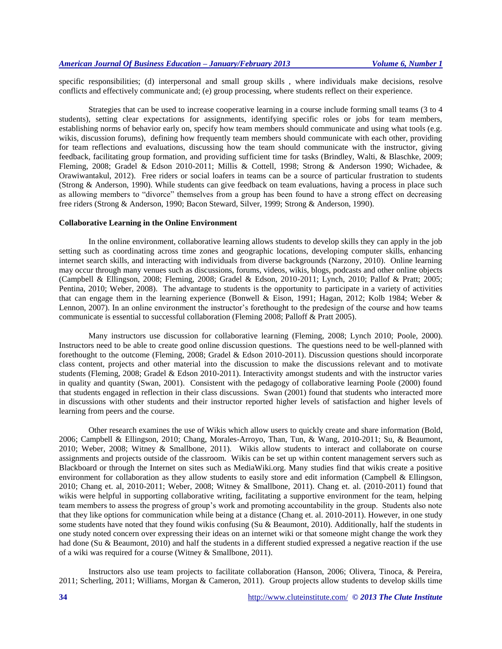specific responsibilities; (d) interpersonal and small group skills , where individuals make decisions, resolve conflicts and effectively communicate and; (e) group processing, where students reflect on their experience.

Strategies that can be used to increase cooperative learning in a course include forming small teams (3 to 4 students), setting clear expectations for assignments, identifying specific roles or jobs for team members, establishing norms of behavior early on, specify how team members should communicate and using what tools (e.g. wikis, discussion forums), defining how frequently team members should communicate with each other, providing for team reflections and evaluations, discussing how the team should communicate with the instructor, giving feedback, facilitating group formation, and providing sufficient time for tasks (Brindley, Walti, & Blaschke, 2009; Fleming, 2008; Gradel & Edson 2010-2011; Millis & Cottell, 1998; Strong & Anderson 1990; Wichadee, & Orawiwantakul, 2012). Free riders or social loafers in teams can be a source of particular frustration to students (Strong & Anderson, 1990). While students can give feedback on team evaluations, having a process in place such as allowing members to "divorce" themselves from a group has been found to have a strong effect on decreasing free riders (Strong & Anderson, 1990; Bacon Steward, Silver, 1999; Strong & Anderson, 1990).

#### **Collaborative Learning in the Online Environment**

In the online environment, collaborative learning allows students to develop skills they can apply in the job setting such as coordinating across time zones and geographic locations, developing computer skills, enhancing internet search skills, and interacting with individuals from diverse backgrounds (Narzony, 2010). Online learning may occur through many venues such as discussions, forums, videos, wikis, blogs, podcasts and other online objects (Campbell & Ellingson, 2008; Fleming, 2008; Gradel & Edson, 2010-2011; Lynch, 2010; Pallof & Pratt; 2005; Pentina, 2010; Weber, 2008). The advantage to students is the opportunity to participate in a variety of activities that can engage them in the learning experience (Bonwell & Eison, 1991; Hagan, 2012; Kolb 1984; Weber & Lennon, 2007). In an online environment the instructor's forethought to the predesign of the course and how teams communicate is essential to successful collaboration (Fleming 2008; Palloff & Pratt 2005).

Many instructors use discussion for collaborative learning (Fleming, 2008; Lynch 2010; Poole, 2000). Instructors need to be able to create good online discussion questions. The questions need to be well-planned with forethought to the outcome (Fleming, 2008; Gradel & Edson 2010-2011). Discussion questions should incorporate class content, projects and other material into the discussion to make the discussions relevant and to motivate students (Fleming, 2008; Gradel & Edson 2010-2011). Interactivity amongst students and with the instructor varies in quality and quantity (Swan, 2001). Consistent with the pedagogy of collaborative learning Poole (2000) found that students engaged in reflection in their class discussions. Swan (2001) found that students who interacted more in discussions with other students and their instructor reported higher levels of satisfaction and higher levels of learning from peers and the course.

Other research examines the use of Wikis which allow users to quickly create and share information (Bold, 2006; Campbell & Ellingson, 2010; Chang, Morales-Arroyo, Than, Tun, & Wang, 2010-2011; Su, & Beaumont, 2010; Weber, 2008; Witney & Smallbone, 2011). Wikis allow students to interact and collaborate on course assignments and projects outside of the classroom. Wikis can be set up within content management servers such as Blackboard or through the Internet on sites such as MediaWiki.org. Many studies find that wikis create a positive environment for collaboration as they allow students to easily store and edit information (Campbell & Ellingson, 2010; Chang et. al, 2010-2011; Weber, 2008; Witney & Smallbone, 2011). Chang et. al. (2010-2011) found that wikis were helpful in supporting collaborative writing, facilitating a supportive environment for the team, helping team members to assess the progress of group's work and promoting accountability in the group. Students also note that they like options for communication while being at a distance (Chang et. al. 2010-2011). However, in one study some students have noted that they found wikis confusing (Su & Beaumont, 2010). Additionally, half the students in one study noted concern over expressing their ideas on an internet wiki or that someone might change the work they had done (Su & Beaumont, 2010) and half the students in a different studied expressed a negative reaction if the use of a wiki was required for a course (Witney & Smallbone, 2011).

Instructors also use team projects to facilitate collaboration (Hanson, 2006; Olivera, Tinoca, & Pereira, 2011; Scherling, 2011; Williams, Morgan & Cameron, 2011). Group projects allow students to develop skills time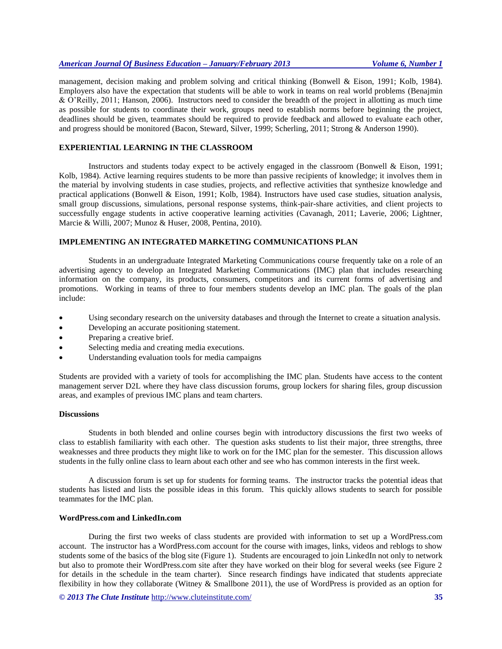management, decision making and problem solving and critical thinking (Bonwell & Eison, 1991; Kolb, 1984). Employers also have the expectation that students will be able to work in teams on real world problems (Benajmin & O'Reilly, 2011; Hanson, 2006). Instructors need to consider the breadth of the project in allotting as much time as possible for students to coordinate their work, groups need to establish norms before beginning the project, deadlines should be given, teammates should be required to provide feedback and allowed to evaluate each other, and progress should be monitored (Bacon, Steward, Silver, 1999; Scherling, 2011; Strong & Anderson 1990).

## **EXPERIENTIAL LEARNING IN THE CLASSROOM**

Instructors and students today expect to be actively engaged in the classroom (Bonwell & Eison, 1991; Kolb, 1984). Active learning requires students to be more than passive recipients of knowledge; it involves them in the material by involving students in case studies, projects, and reflective activities that synthesize knowledge and practical applications (Bonwell & Eison, 1991; Kolb, 1984). Instructors have used case studies, situation analysis, small group discussions, simulations, personal response systems, think-pair-share activities, and client projects to successfully engage students in active cooperative learning activities (Cavanagh, 2011; Laverie, 2006; Lightner, Marcie & Willi, 2007; Munoz & Huser, 2008, Pentina, 2010).

#### **IMPLEMENTING AN INTEGRATED MARKETING COMMUNICATIONS PLAN**

Students in an undergraduate Integrated Marketing Communications course frequently take on a role of an advertising agency to develop an Integrated Marketing Communications (IMC) plan that includes researching information on the company, its products, consumers, competitors and its current forms of advertising and promotions. Working in teams of three to four members students develop an IMC plan. The goals of the plan include:

- Using secondary research on the university databases and through the Internet to create a situation analysis.
- Developing an accurate positioning statement.
- Preparing a creative brief.
- Selecting media and creating media executions.
- Understanding evaluation tools for media campaigns

Students are provided with a variety of tools for accomplishing the IMC plan. Students have access to the content management server D2L where they have class discussion forums, group lockers for sharing files, group discussion areas, and examples of previous IMC plans and team charters.

## **Discussions**

Students in both blended and online courses begin with introductory discussions the first two weeks of class to establish familiarity with each other. The question asks students to list their major, three strengths, three weaknesses and three products they might like to work on for the IMC plan for the semester. This discussion allows students in the fully online class to learn about each other and see who has common interests in the first week.

A discussion forum is set up for students for forming teams. The instructor tracks the potential ideas that students has listed and lists the possible ideas in this forum. This quickly allows students to search for possible teammates for the IMC plan.

## **WordPress.com and LinkedIn.com**

During the first two weeks of class students are provided with information to set up a WordPress.com account. The instructor has a WordPress.com account for the course with images, links, videos and reblogs to show students some of the basics of the blog site (Figure 1). Students are encouraged to join LinkedIn not only to network but also to promote their WordPress.com site after they have worked on their blog for several weeks (see Figure 2 for details in the schedule in the team charter). Since research findings have indicated that students appreciate flexibility in how they collaborate (Witney & Smallbone 2011), the use of WordPress is provided as an option for

*© 2013 The Clute Institute* http://www.cluteinstitute.com/ **35**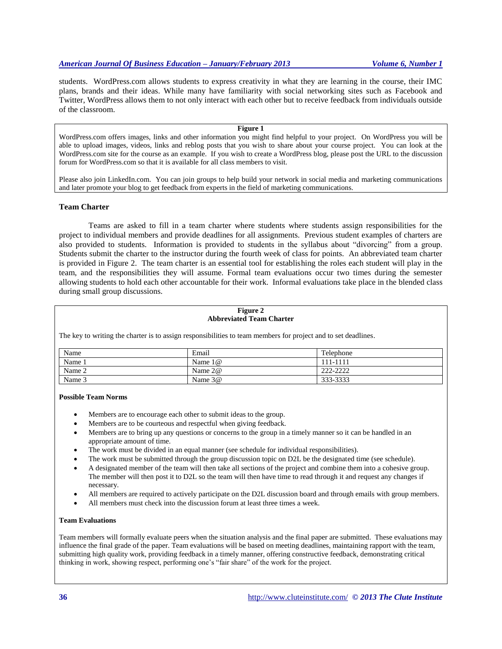students. WordPress.com allows students to express creativity in what they are learning in the course, their IMC plans, brands and their ideas. While many have familiarity with social networking sites such as Facebook and Twitter, WordPress allows them to not only interact with each other but to receive feedback from individuals outside of the classroom.

## **Figure 1**

WordPress.com offers images, links and other information you might find helpful to your project. On WordPress you will be able to upload images, videos, links and reblog posts that you wish to share about your course project. You can look at the WordPress.com site for the course as an example. If you wish to create a WordPress blog, please post the URL to the discussion forum for WordPress.com so that it is available for all class members to visit.

Please also join LinkedIn.com. You can join groups to help build your network in social media and marketing communications and later promote your blog to get feedback from experts in the field of marketing communications.

# **Team Charter**

Teams are asked to fill in a team charter where students where students assign responsibilities for the project to individual members and provide deadlines for all assignments. Previous student examples of charters are also provided to students. Information is provided to students in the syllabus about "divorcing" from a group. Students submit the charter to the instructor during the fourth week of class for points. An abbreviated team charter is provided in Figure 2. The team charter is an essential tool for establishing the roles each student will play in the team, and the responsibilities they will assume. Formal team evaluations occur two times during the semester allowing students to hold each other accountable for their work. Informal evaluations take place in the blended class during small group discussions.

#### **Figure 2 Abbreviated Team Charter**

The key to writing the charter is to assign responsibilities to team members for project and to set deadlines.

| Name   | Email     | Telephone |
|--------|-----------|-----------|
| Name . | Name $1@$ | 111-1111  |
| Name 2 | Name $2@$ | 222-2222  |
| Name 3 | Name $3@$ | 333-3333  |

#### **Possible Team Norms**

- Members are to encourage each other to submit ideas to the group.
- Members are to be courteous and respectful when giving feedback.
- Members are to bring up any questions or concerns to the group in a timely manner so it can be handled in an appropriate amount of time.
- The work must be divided in an equal manner (see schedule for individual responsibilities).
- The work must be submitted through the group discussion topic on D2L be the designated time (see schedule).
- A designated member of the team will then take all sections of the project and combine them into a cohesive group. The member will then post it to D2L so the team will then have time to read through it and request any changes if necessary.
- All members are required to actively participate on the D2L discussion board and through emails with group members.
- All members must check into the discussion forum at least three times a week.

#### **Team Evaluations**

Team members will formally evaluate peers when the situation analysis and the final paper are submitted. These evaluations may influence the final grade of the paper. Team evaluations will be based on meeting deadlines, maintaining rapport with the team, submitting high quality work, providing feedback in a timely manner, offering constructive feedback, demonstrating critical thinking in work, showing respect, performing one's "fair share" of the work for the project.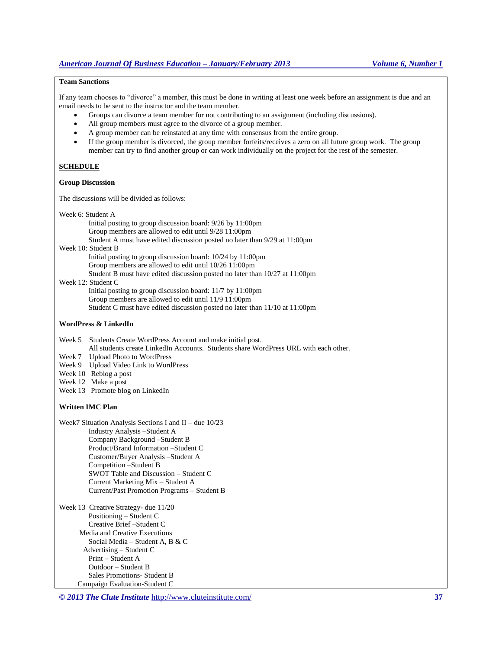# **Team Sanctions**

If any team chooses to "divorce" a member, this must be done in writing at least one week before an assignment is due and an email needs to be sent to the instructor and the team member.

- Groups can divorce a team member for not contributing to an assignment (including discussions).
- All group members must agree to the divorce of a group member.
- A group member can be reinstated at any time with consensus from the entire group.
- If the group member is divorced, the group member forfeits/receives a zero on all future group work. The group member can try to find another group or can work individually on the project for the rest of the semester.

# **SCHEDULE**

#### **Group Discussion**

The discussions will be divided as follows:

Week 6: Student A

Initial posting to group discussion board: 9/26 by 11:00pm Group members are allowed to edit until 9/28 11:00pm Student A must have edited discussion posted no later than 9/29 at 11:00pm Week 10: Student B Initial posting to group discussion board: 10/24 by 11:00pm Group members are allowed to edit until 10/26 11:00pm Student B must have edited discussion posted no later than 10/27 at 11:00pm Week 12: Student C Initial posting to group discussion board: 11/7 by 11:00pm Group members are allowed to edit until 11/9 11:00pm

Student C must have edited discussion posted no later than 11/10 at 11:00pm

#### **WordPress & LinkedIn**

Week 5 Students Create WordPress Account and make initial post.

All students create LinkedIn Accounts. Students share WordPress URL with each other.

- Week 7 Upload Photo to WordPress
- Week 9 Upload Video Link to WordPress
- Week 10 Reblog a post
- Week 12 Make a post
- Week 13 Promote blog on LinkedIn

#### **Written IMC Plan**

Week7 Situation Analysis Sections I and II – due 10/23 Industry Analysis –Student A Company Background –Student B Product/Brand Information –Student C Customer/Buyer Analysis –Student A Competition –Student B SWOT Table and Discussion – Student C Current Marketing Mix – Student A Current/Past Promotion Programs – Student B

Week 13 Creative Strategy- due 11/20 Positioning – Student C Creative Brief –Student C Media and Creative Executions Social Media – Student A, B & C Advertising – Student C Print – Student A Outdoor – Student B Sales Promotions- Student B Campaign Evaluation-Student C

*© 2013 The Clute Institute* http://www.cluteinstitute.com/ **37**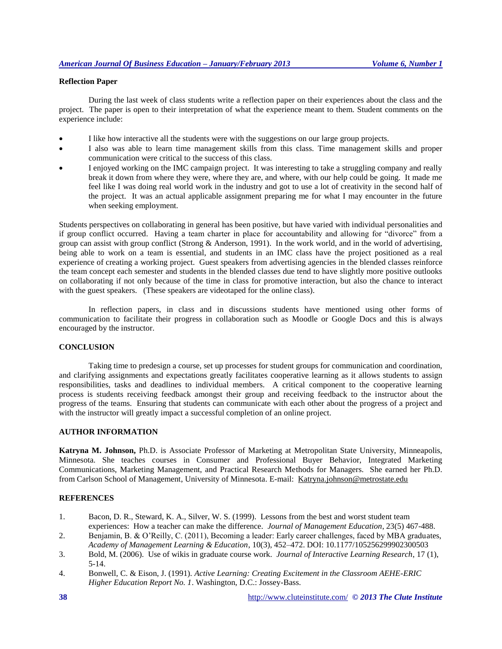# **Reflection Paper**

During the last week of class students write a reflection paper on their experiences about the class and the project. The paper is open to their interpretation of what the experience meant to them. Student comments on the experience include:

- I like how interactive all the students were with the suggestions on our large group projects.
- I also was able to learn time management skills from this class. Time management skills and proper communication were critical to the success of this class.
- I enjoyed working on the IMC campaign project. It was interesting to take a struggling company and really break it down from where they were, where they are, and where, with our help could be going. It made me feel like I was doing real world work in the industry and got to use a lot of creativity in the second half of the project. It was an actual applicable assignment preparing me for what I may encounter in the future when seeking employment.

Students perspectives on collaborating in general has been positive, but have varied with individual personalities and if group conflict occurred. Having a team charter in place for accountability and allowing for "divorce" from a group can assist with group conflict (Strong & Anderson, 1991). In the work world, and in the world of advertising, being able to work on a team is essential, and students in an IMC class have the project positioned as a real experience of creating a working project. Guest speakers from advertising agencies in the blended classes reinforce the team concept each semester and students in the blended classes due tend to have slightly more positive outlooks on collaborating if not only because of the time in class for promotive interaction, but also the chance to interact with the guest speakers. (These speakers are videotaped for the online class).

In reflection papers, in class and in discussions students have mentioned using other forms of communication to facilitate their progress in collaboration such as Moodle or Google Docs and this is always encouraged by the instructor.

# **CONCLUSION**

Taking time to predesign a course, set up processes for student groups for communication and coordination, and clarifying assignments and expectations greatly facilitates cooperative learning as it allows students to assign responsibilities, tasks and deadlines to individual members. A critical component to the cooperative learning process is students receiving feedback amongst their group and receiving feedback to the instructor about the progress of the teams. Ensuring that students can communicate with each other about the progress of a project and with the instructor will greatly impact a successful completion of an online project.

# **AUTHOR INFORMATION**

**Katryna M. Johnson,** Ph.D. is Associate Professor of Marketing at Metropolitan State University, Minneapolis, Minnesota. She teaches courses in Consumer and Professional Buyer Behavior, Integrated Marketing Communications, Marketing Management, and Practical Research Methods for Managers. She earned her Ph.D. from Carlson School of Management, University of Minnesota. E-mail: [Katryna.johnson@metrostate.edu](mailto:Katryna.johnson@metrostate.edu)

#### **REFERENCES**

- 1. Bacon, D. R., Steward, K. A., Silver, W. S. (1999). Lessons from the best and worst student team experiences: How a teacher can make the difference. *Journal of Management Education*, 23(5) 467-488.
- 2. Benjamin, B. & O'Reilly, C. (2011), Becoming a leader: Early career challenges, faced by MBA graduates, *Academy of Management Learning & Education*, 10(3), 452–472. DOI: 10.1177/105256299902300503
- 3. Bold, M. (2006). Use of wikis in graduate course work. *Journal of Interactive Learning Research*, 17 (1), 5-14.
- 4. Bonwell, C. & Eison, J. (1991). *Active Learning: Creating Excitement in the Classroom AEHE-ERIC Higher Education Report No. 1*. Washington, D.C.: Jossey-Bass.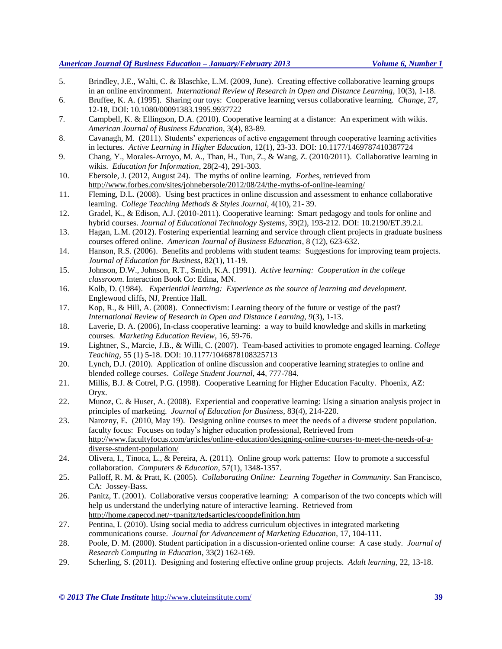- 5. Brindley, J.E., Walti, C. & Blaschke, L.M. (2009, June). Creating effective collaborative learning groups in an online environment. *International Review of Research in Open and Distance Learning*, 10(3), 1-18.
- 6. Bruffee, K. A. (1995). Sharing our toys: Cooperative learning versus collaborative learning. *Change*, 27, 12-18, DOI: 10.1080/00091383.1995.9937722
- 7. Campbell, K. & Ellingson, D.A. (2010). Cooperative learning at a distance: An experiment with wikis. *American Journal of Business Education*, 3(4), 83-89.
- 8. Cavanagh, M. (2011). Students' experiences of active engagement through cooperative learning activities in lectures. *Active Learning in Higher Education*, 12(1), 23-33. DOI: 10.1177/1469787410387724
- 9. Chang, Y., Morales-Arroyo, M. A., Than, H., Tun, Z., & Wang, Z. (2010/2011). Collaborative learning in wikis. *Education for Information*, 28(2-4), 291-303.
- 10. Ebersole, J. (2012, August 24). The myths of online learning. *Forbes*, retrieved from http://www.forbes.com/sites/johnebersole/2012/08/24/the-myths-of-online-learning/
- 11. Fleming, D.L. (2008). Using best practices in online discussion and assessment to enhance collaborative learning. *College Teaching Methods & Styles Journal*, 4(10), 21- 39.
- 12. Gradel, K., & Edison, A.J. (2010-2011). Cooperative learning: Smart pedagogy and tools for online and hybrid courses. *Journal of Educational Technology Systems*, 39(2), 193-212. DOI: 10.2190/ET.39.2.i.
- 13. Hagan, L.M. (2012). Fostering experiential learning and service through client projects in graduate business courses offered online. *American Journal of Business Education*, 8 (12), 623-632.
- 14. Hanson, R.S. (2006). Benefits and problems with student teams: Suggestions for improving team projects. *Journal of Education for Business*, 82(1), 11-19.
- 15. Johnson, D.W., Johnson, R.T., Smith, K.A. (1991). *Active learning: Cooperation in the college classroom*. Interaction Book Co: Edina, MN.
- 16. Kolb, D. (1984). *Experiential learning: Experience as the source of learning and development*. Englewood cliffs, NJ, Prentice Hall.
- 17. Kop, R., & Hill, A. (2008). Connectivism: Learning theory of the future or vestige of the past? *International Review of Research in Open and Distance Learning, 9*(3), 1-13.
- 18. Laverie, D. A. (2006), In-class cooperative learning: a way to build knowledge and skills in marketing courses. *Marketing Education Review*, 16, 59-76.
- 19. Lightner, S., Marcie, J.B., & Willi, C. (2007). Team-based activities to promote engaged learning. *College Teaching*, 55 (1) 5-18. DOI: 10.1177/1046878108325713
- 20. Lynch, D.J. (2010). Application of online discussion and cooperative learning strategies to online and blended college courses. *College Student Journal*, 44, 777-784.
- 21. Millis, B.J. & Cotrel, P.G. (1998). Cooperative Learning for Higher Education Faculty. Phoenix, AZ: Oryx.
- 22. Munoz, C. & Huser, A. (2008). Experiential and cooperative learning: Using a situation analysis project in principles of marketing. *Journal of Education for Business*, 83(4), 214-220.
- 23. Narozny, E. (2010, May 19). Designing online courses to meet the needs of a diverse student population. faculty focus: Focuses on today's higher education professional, Retrieved from [http://www.facultyfocus.com/articles/online-education/designing-online-courses-to-meet-the-needs-of-a](http://www.facultyfocus.com/articles/online-education/designing-online-courses-to-meet-the-needs-of-a-diverse-student-population/)[diverse-student-population/](http://www.facultyfocus.com/articles/online-education/designing-online-courses-to-meet-the-needs-of-a-diverse-student-population/)
- 24. Olivera, I., Tinoca, L., & Pereira, A. (2011). Online group work patterns: How to promote a successful collaboration. *Computers & Education*, 57(1), 1348-1357.
- 25. Palloff, R. M. & Pratt, K. (2005)*. Collaborating Online: Learning Together in Community*. San Francisco, CA: Jossey-Bass.
- 26. Panitz, T. (2001). Collaborative versus cooperative learning: A comparison of the two concepts which will help us understand the underlying nature of interactive learning. Retrieved from <http://home.capecod.net/~tpanitz/tedsarticles/coopdefinition.htm>
- 27. Pentina, I. (2010). Using social media to address curriculum objectives in integrated marketing communications course. *Journal for Advancement of Marketing Education*, 17, 104-111.
- 28. Poole, D. M. (2000). Student participation in a discussion-oriented online course: A case study. *Journal of Research Computing in Education*, 33(2) 162-169.
- 29. Scherling, S. (2011). Designing and fostering effective online group projects. *Adult learning*, 22, 13-18.